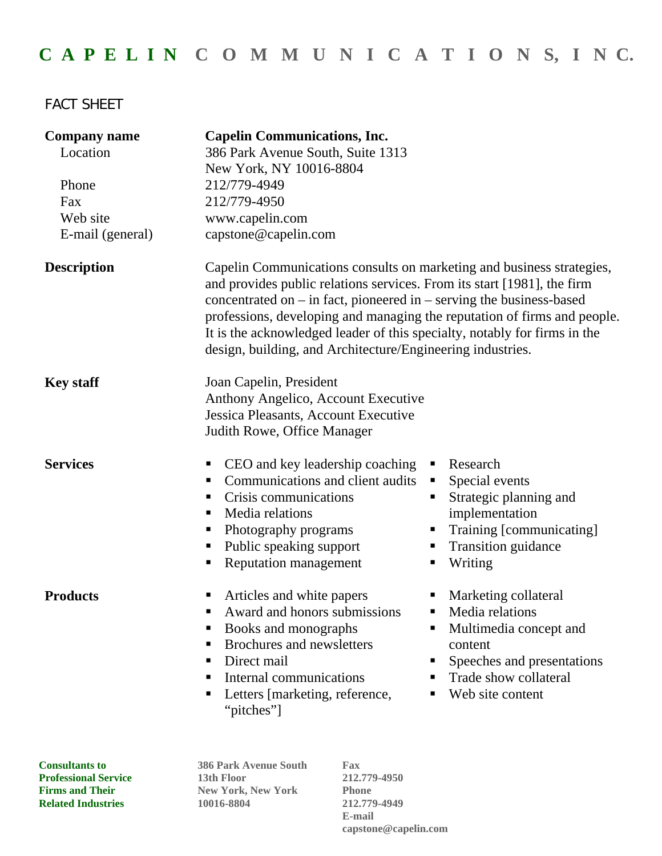## **C A P E L I N C O M M U N I C A T I O N S, I N C.**

## FACT SHEET

| <b>Company name</b><br>Location<br>Phone<br>Fax | <b>Capelin Communications, Inc.</b><br>386 Park Avenue South, Suite 1313<br>New York, NY 10016-8804<br>212/779-4949<br>212/779-4950                                                                                                                                                                                                                                                                                                                 |                                                                                                                                                                                  |
|-------------------------------------------------|-----------------------------------------------------------------------------------------------------------------------------------------------------------------------------------------------------------------------------------------------------------------------------------------------------------------------------------------------------------------------------------------------------------------------------------------------------|----------------------------------------------------------------------------------------------------------------------------------------------------------------------------------|
| Web site                                        | www.capelin.com                                                                                                                                                                                                                                                                                                                                                                                                                                     |                                                                                                                                                                                  |
| E-mail (general)                                | capstone@capelin.com                                                                                                                                                                                                                                                                                                                                                                                                                                |                                                                                                                                                                                  |
| <b>Description</b>                              | Capelin Communications consults on marketing and business strategies,<br>and provides public relations services. From its start [1981], the firm<br>concentrated on $-$ in fact, pioneered in $-$ serving the business-based<br>professions, developing and managing the reputation of firms and people.<br>It is the acknowledged leader of this specialty, notably for firms in the<br>design, building, and Architecture/Engineering industries. |                                                                                                                                                                                  |
| <b>Key staff</b>                                | Joan Capelin, President<br>Anthony Angelico, Account Executive<br>Jessica Pleasants, Account Executive<br>Judith Rowe, Office Manager                                                                                                                                                                                                                                                                                                               |                                                                                                                                                                                  |
| <b>Services</b>                                 | CEO and key leadership coaching<br>Communications and client audits<br>Crisis communications<br>Media relations<br>٠<br>Photography programs<br>ш<br>Public speaking support<br><b>Reputation management</b>                                                                                                                                                                                                                                        | Research<br>٠<br>Special events<br>٠<br>Strategic planning and<br>٠<br>implementation<br>Training [communicating]<br>п<br>Transition guidance<br>٠<br>Writing<br>٠               |
| <b>Products</b>                                 | Articles and white papers<br>Award and honors submissions<br>Books and monographs<br>Brochures and newsletters<br>Direct mail<br>п<br>Internal communications<br>Letters [marketing, reference,<br>"pitches"]                                                                                                                                                                                                                                       | Marketing collateral<br>٠<br>Media relations<br>Multimedia concept and<br>п<br>content<br>Speeches and presentations<br>٠<br>Trade show collateral<br>п<br>Web site content<br>п |
| <b>Consultants to</b>                           | <b>386 Park Avenue South</b><br>Fax                                                                                                                                                                                                                                                                                                                                                                                                                 |                                                                                                                                                                                  |

**Professional Service 13th Floor 212.779-4950 Firms and Their** New York, New York Phone **Related Industries 10016-8804 212.779-4949** 

 **E-mail capstone@capelin.com**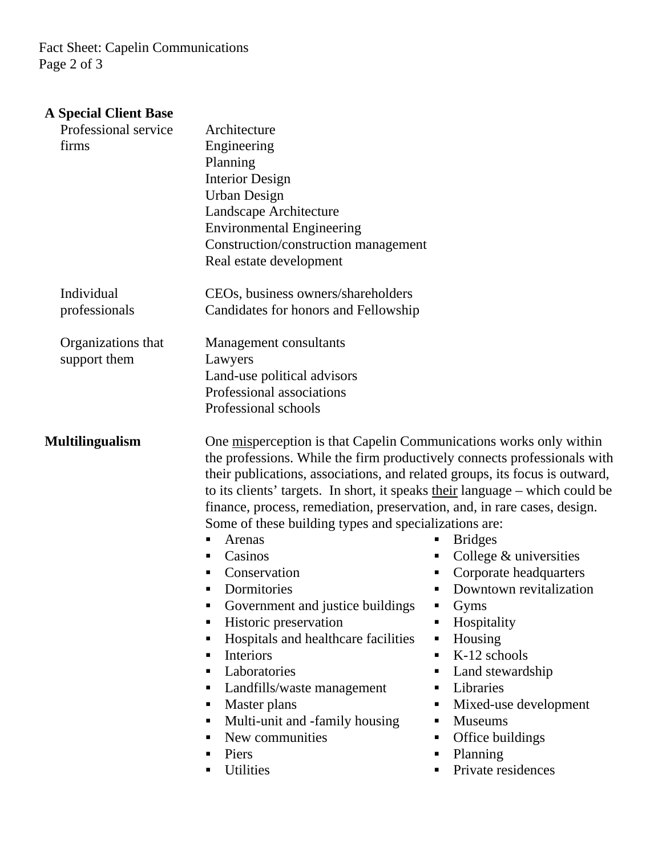Fact Sheet: Capelin Communications Page 2 of 3

## **A Special Client Base**

| Professional service<br>firms      | Architecture<br>Engineering<br>Planning<br><b>Interior Design</b><br><b>Urban Design</b><br>Landscape Architecture<br><b>Environmental Engineering</b>                                                                                                                                                                                                                                                                                                                                                                                                                                                                                                                                                                                                                                                                                                                                                                                                                                                                                                                                                                                                                             |  |
|------------------------------------|------------------------------------------------------------------------------------------------------------------------------------------------------------------------------------------------------------------------------------------------------------------------------------------------------------------------------------------------------------------------------------------------------------------------------------------------------------------------------------------------------------------------------------------------------------------------------------------------------------------------------------------------------------------------------------------------------------------------------------------------------------------------------------------------------------------------------------------------------------------------------------------------------------------------------------------------------------------------------------------------------------------------------------------------------------------------------------------------------------------------------------------------------------------------------------|--|
|                                    | Construction/construction management<br>Real estate development                                                                                                                                                                                                                                                                                                                                                                                                                                                                                                                                                                                                                                                                                                                                                                                                                                                                                                                                                                                                                                                                                                                    |  |
| Individual<br>professionals        | CEOs, business owners/shareholders<br>Candidates for honors and Fellowship                                                                                                                                                                                                                                                                                                                                                                                                                                                                                                                                                                                                                                                                                                                                                                                                                                                                                                                                                                                                                                                                                                         |  |
| Organizations that<br>support them | Management consultants<br>Lawyers<br>Land-use political advisors<br>Professional associations<br>Professional schools                                                                                                                                                                                                                                                                                                                                                                                                                                                                                                                                                                                                                                                                                                                                                                                                                                                                                                                                                                                                                                                              |  |
| <b>Multilingualism</b>             | One misperception is that Capelin Communications works only within<br>the professions. While the firm productively connects professionals with<br>their publications, associations, and related groups, its focus is outward,<br>to its clients' targets. In short, it speaks their language - which could be<br>finance, process, remediation, preservation, and, in rare cases, design.<br>Some of these building types and specializations are:<br>Arenas<br><b>Bridges</b><br>п<br>ш<br>Casinos<br>College & universities<br>٠<br>п<br>Corporate headquarters<br>Conservation<br>п<br>Dormitories<br>Downtown revitalization<br>$\blacksquare$<br>Government and justice buildings<br>Gyms<br>п<br>Historic preservation<br>Hospitality<br>Hospitals and healthcare facilities<br>Housing<br>п<br>п<br>K-12 schools<br><b>Interiors</b><br>п<br>Laboratories<br>Land stewardship<br>п<br>п<br>Landfills/waste management<br>Libraries<br>п<br>п<br>Master plans<br>Mixed-use development<br>п<br>ш<br>Multi-unit and -family housing<br><b>Museums</b><br>п<br>New communities<br>Office buildings<br>п<br>٠<br>Planning<br>Piers<br>Private residences<br>Utilities<br>٠<br>п |  |